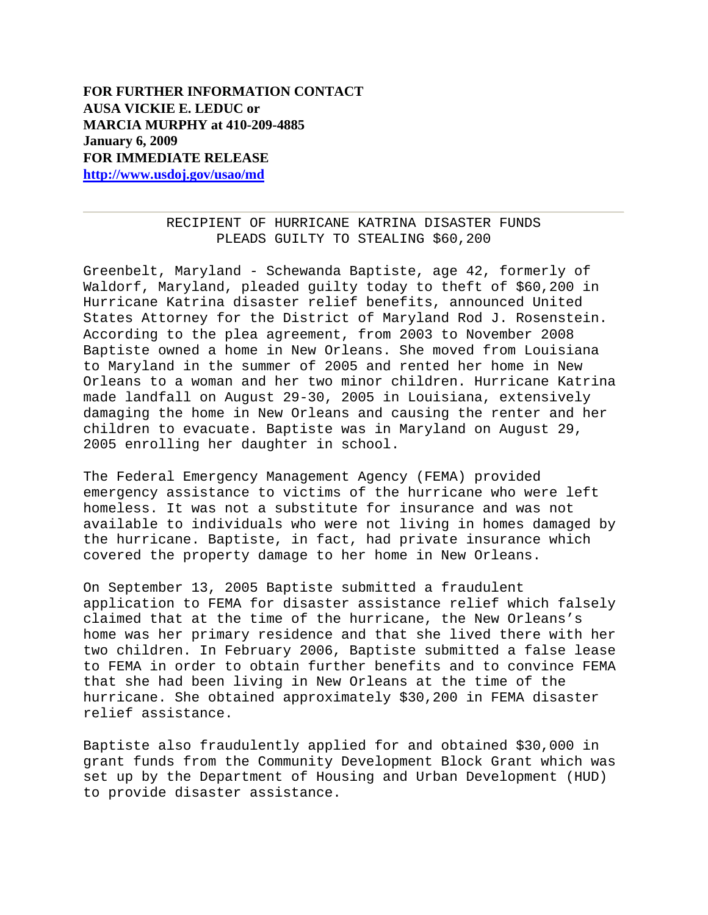## RECIPIENT OF HURRICANE KATRINA DISASTER FUNDS PLEADS GUILTY TO STEALING \$60,200

Greenbelt, Maryland - Schewanda Baptiste, age 42, formerly of Waldorf, Maryland, pleaded guilty today to theft of \$60,200 in Hurricane Katrina disaster relief benefits, announced United States Attorney for the District of Maryland Rod J. Rosenstein. According to the plea agreement, from 2003 to November 2008 Baptiste owned a home in New Orleans. She moved from Louisiana to Maryland in the summer of 2005 and rented her home in New Orleans to a woman and her two minor children. Hurricane Katrina made landfall on August 29-30, 2005 in Louisiana, extensively damaging the home in New Orleans and causing the renter and her children to evacuate. Baptiste was in Maryland on August 29, 2005 enrolling her daughter in school.

The Federal Emergency Management Agency (FEMA) provided emergency assistance to victims of the hurricane who were left homeless. It was not a substitute for insurance and was not available to individuals who were not living in homes damaged by the hurricane. Baptiste, in fact, had private insurance which covered the property damage to her home in New Orleans.

On September 13, 2005 Baptiste submitted a fraudulent application to FEMA for disaster assistance relief which falsely claimed that at the time of the hurricane, the New Orleans's home was her primary residence and that she lived there with her two children. In February 2006, Baptiste submitted a false lease to FEMA in order to obtain further benefits and to convince FEMA that she had been living in New Orleans at the time of the hurricane. She obtained approximately \$30,200 in FEMA disaster relief assistance.

Baptiste also fraudulently applied for and obtained \$30,000 in grant funds from the Community Development Block Grant which was set up by the Department of Housing and Urban Development (HUD) to provide disaster assistance.